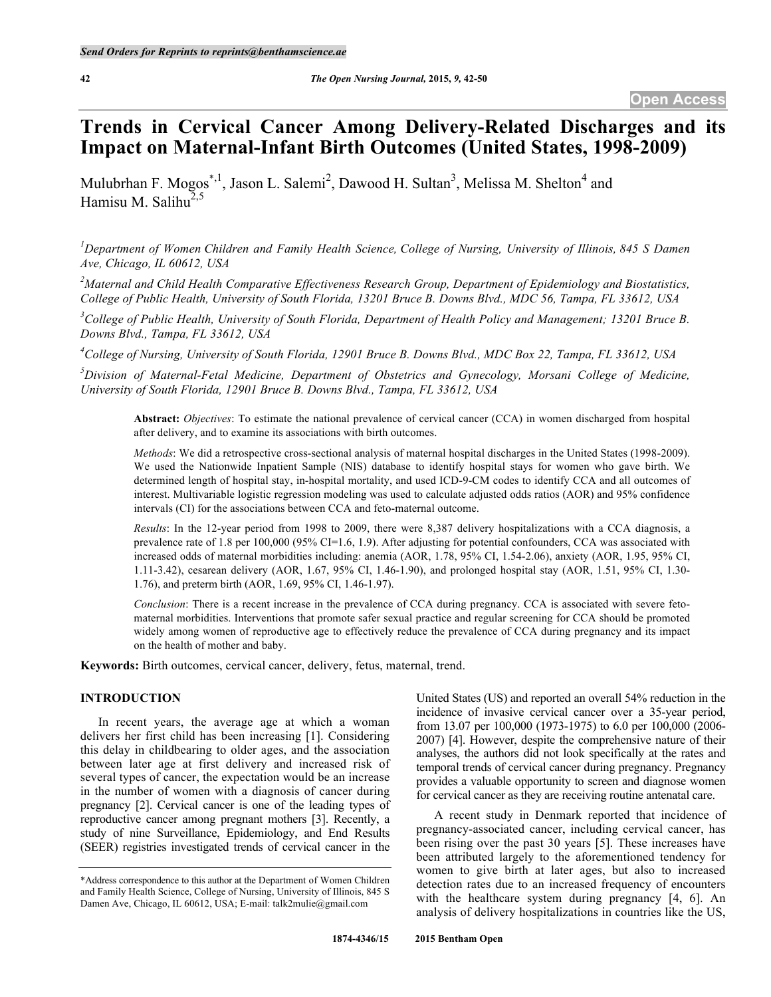# **Trends in Cervical Cancer Among Delivery-Related Discharges and its Impact on Maternal-Infant Birth Outcomes (United States, 1998-2009)**

Mulubrhan F. Mogos<sup>\*,1</sup>, Jason L. Salemi<sup>2</sup>, Dawood H. Sultan<sup>3</sup>, Melissa M. Shelton<sup>4</sup> and Hamisu M. Salihu $^{2,5}$ 

*1 Department of Women Children and Family Health Science, College of Nursing, University of Illinois, 845 S Damen Ave, Chicago, IL 60612, USA*

<sup>2</sup> Maternal and Child Health Comparative Effectiveness Research Group, Department of Epidemiology and Biostatistics, *College of Public Health, University of South Florida, 13201 Bruce B. Downs Blvd., MDC 56, Tampa, FL 33612, USA*

<sup>3</sup>College of Public Health, University of South Florida, Department of Health Policy and Management; 13201 Bruce B. *Downs Blvd., Tampa, FL 33612, USA*

*4 College of Nursing, University of South Florida, 12901 Bruce B. Downs Blvd., MDC Box 22, Tampa, FL 33612, USA*

*5 Division of Maternal-Fetal Medicine, Department of Obstetrics and Gynecology, Morsani College of Medicine, University of South Florida, 12901 Bruce B. Downs Blvd., Tampa, FL 33612, USA*

**Abstract:** *Objectives*: To estimate the national prevalence of cervical cancer (CCA) in women discharged from hospital after delivery, and to examine its associations with birth outcomes.

*Methods*: We did a retrospective cross-sectional analysis of maternal hospital discharges in the United States (1998-2009). We used the Nationwide Inpatient Sample (NIS) database to identify hospital stays for women who gave birth. We determined length of hospital stay, in-hospital mortality, and used ICD-9-CM codes to identify CCA and all outcomes of interest. Multivariable logistic regression modeling was used to calculate adjusted odds ratios (AOR) and 95% confidence intervals (CI) for the associations between CCA and feto-maternal outcome.

*Results*: In the 12-year period from 1998 to 2009, there were 8,387 delivery hospitalizations with a CCA diagnosis, a prevalence rate of 1.8 per 100,000 (95% CI=1.6, 1.9). After adjusting for potential confounders, CCA was associated with increased odds of maternal morbidities including: anemia (AOR, 1.78, 95% CI, 1.54-2.06), anxiety (AOR, 1.95, 95% CI, 1.11-3.42), cesarean delivery (AOR, 1.67, 95% CI, 1.46-1.90), and prolonged hospital stay (AOR, 1.51, 95% CI, 1.30- 1.76), and preterm birth (AOR, 1.69, 95% CI, 1.46-1.97).

*Conclusion*: There is a recent increase in the prevalence of CCA during pregnancy. CCA is associated with severe fetomaternal morbidities. Interventions that promote safer sexual practice and regular screening for CCA should be promoted widely among women of reproductive age to effectively reduce the prevalence of CCA during pregnancy and its impact on the health of mother and baby.

**Keywords:** Birth outcomes, cervical cancer, delivery, fetus, maternal, trend.

## **INTRODUCTION**

In recent years, the average age at which a woman delivers her first child has been increasing [1]. Considering this delay in childbearing to older ages, and the association between later age at first delivery and increased risk of several types of cancer, the expectation would be an increase in the number of women with a diagnosis of cancer during pregnancy [2]. Cervical cancer is one of the leading types of reproductive cancer among pregnant mothers [3]. Recently, a study of nine Surveillance, Epidemiology, and End Results (SEER) registries investigated trends of cervical cancer in the United States (US) and reported an overall 54% reduction in the incidence of invasive cervical cancer over a 35-year period, from 13.07 per 100,000 (1973-1975) to 6.0 per 100,000 (2006- 2007) [4]. However, despite the comprehensive nature of their analyses, the authors did not look specifically at the rates and temporal trends of cervical cancer during pregnancy. Pregnancy provides a valuable opportunity to screen and diagnose women for cervical cancer as they are receiving routine antenatal care.

A recent study in Denmark reported that incidence of pregnancy-associated cancer, including cervical cancer, has been rising over the past 30 years [5]. These increases have been attributed largely to the aforementioned tendency for women to give birth at later ages, but also to increased detection rates due to an increased frequency of encounters with the healthcare system during pregnancy [4, 6]. An analysis of delivery hospitalizations in countries like the US,

<sup>\*</sup>Address correspondence to this author at the Department of Women Children and Family Health Science, College of Nursing, University of Illinois, 845 S Damen Ave, Chicago, IL 60612, USA; E-mail: talk2mulie@gmail.com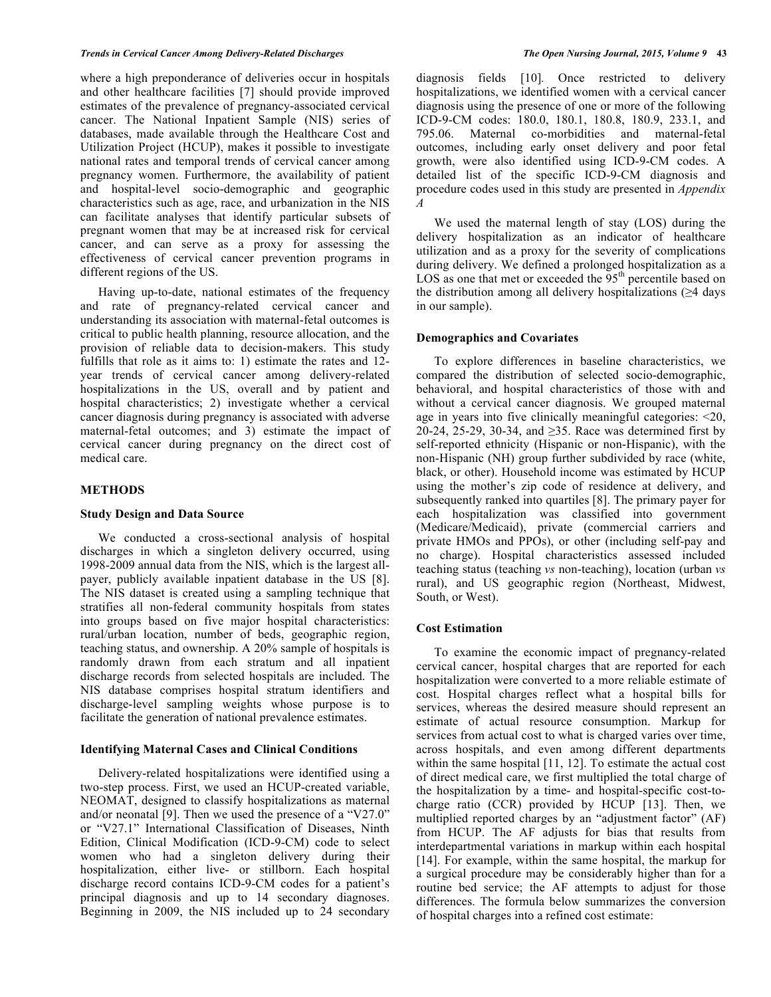#### *Trends in Cervical Cancer Among Delivery-Related Discharges The Open Nursing Journal, 2015, Volume 9* **43**

where a high preponderance of deliveries occur in hospitals and other healthcare facilities [7] should provide improved estimates of the prevalence of pregnancy-associated cervical cancer. The National Inpatient Sample (NIS) series of databases, made available through the Healthcare Cost and Utilization Project (HCUP), makes it possible to investigate national rates and temporal trends of cervical cancer among pregnancy women. Furthermore, the availability of patient and hospital-level socio-demographic and geographic characteristics such as age, race, and urbanization in the NIS can facilitate analyses that identify particular subsets of pregnant women that may be at increased risk for cervical cancer, and can serve as a proxy for assessing the effectiveness of cervical cancer prevention programs in different regions of the US.

Having up-to-date, national estimates of the frequency and rate of pregnancy-related cervical cancer and understanding its association with maternal-fetal outcomes is critical to public health planning, resource allocation, and the provision of reliable data to decision-makers. This study fulfills that role as it aims to: 1) estimate the rates and 12 year trends of cervical cancer among delivery-related hospitalizations in the US, overall and by patient and hospital characteristics; 2) investigate whether a cervical cancer diagnosis during pregnancy is associated with adverse maternal-fetal outcomes; and 3) estimate the impact of cervical cancer during pregnancy on the direct cost of medical care.

#### **METHODS**

#### **Study Design and Data Source**

We conducted a cross-sectional analysis of hospital discharges in which a singleton delivery occurred, using 1998-2009 annual data from the NIS, which is the largest allpayer, publicly available inpatient database in the US [8]. The NIS dataset is created using a sampling technique that stratifies all non-federal community hospitals from states into groups based on five major hospital characteristics: rural/urban location, number of beds, geographic region, teaching status, and ownership. A 20% sample of hospitals is randomly drawn from each stratum and all inpatient discharge records from selected hospitals are included. The NIS database comprises hospital stratum identifiers and discharge-level sampling weights whose purpose is to facilitate the generation of national prevalence estimates.

#### **Identifying Maternal Cases and Clinical Conditions**

Delivery-related hospitalizations were identified using a two-step process. First, we used an HCUP-created variable, NEOMAT, designed to classify hospitalizations as maternal and/or neonatal [9]. Then we used the presence of a "V27.0" or "V27.1" International Classification of Diseases, Ninth Edition, Clinical Modification (ICD-9-CM) code to select women who had a singleton delivery during their hospitalization, either live- or stillborn. Each hospital discharge record contains ICD-9-CM codes for a patient's principal diagnosis and up to 14 secondary diagnoses. Beginning in 2009, the NIS included up to 24 secondary

diagnosis fields [10]*.* Once restricted to delivery hospitalizations, we identified women with a cervical cancer diagnosis using the presence of one or more of the following ICD-9-CM codes: 180.0, 180.1, 180.8, 180.9, 233.1, and 795.06. Maternal co-morbidities and maternal-fetal outcomes, including early onset delivery and poor fetal growth, were also identified using ICD-9-CM codes. A detailed list of the specific ICD-9-CM diagnosis and procedure codes used in this study are presented in *Appendix A*

We used the maternal length of stay (LOS) during the delivery hospitalization as an indicator of healthcare utilization and as a proxy for the severity of complications during delivery. We defined a prolonged hospitalization as a LOS as one that met or exceeded the  $95<sup>th</sup>$  percentile based on the distribution among all delivery hospitalizations ( $\geq 4$  days in our sample).

#### **Demographics and Covariates**

To explore differences in baseline characteristics, we compared the distribution of selected socio-demographic, behavioral, and hospital characteristics of those with and without a cervical cancer diagnosis. We grouped maternal age in years into five clinically meaningful categories: <20, 20-24, 25-29, 30-34, and ≥35. Race was determined first by self-reported ethnicity (Hispanic or non-Hispanic), with the non-Hispanic (NH) group further subdivided by race (white, black, or other). Household income was estimated by HCUP using the mother's zip code of residence at delivery, and subsequently ranked into quartiles [8]. The primary payer for each hospitalization was classified into government (Medicare/Medicaid), private (commercial carriers and private HMOs and PPOs), or other (including self-pay and no charge). Hospital characteristics assessed included teaching status (teaching *vs* non-teaching), location (urban *vs* rural), and US geographic region (Northeast, Midwest, South, or West).

## **Cost Estimation**

To examine the economic impact of pregnancy-related cervical cancer, hospital charges that are reported for each hospitalization were converted to a more reliable estimate of cost. Hospital charges reflect what a hospital bills for services, whereas the desired measure should represent an estimate of actual resource consumption. Markup for services from actual cost to what is charged varies over time, across hospitals, and even among different departments within the same hospital [11, 12]. To estimate the actual cost of direct medical care, we first multiplied the total charge of the hospitalization by a time- and hospital-specific cost-tocharge ratio (CCR) provided by HCUP [13]. Then, we multiplied reported charges by an "adjustment factor" (AF) from HCUP. The AF adjusts for bias that results from interdepartmental variations in markup within each hospital [14]. For example, within the same hospital, the markup for a surgical procedure may be considerably higher than for a routine bed service; the AF attempts to adjust for those differences. The formula below summarizes the conversion of hospital charges into a refined cost estimate: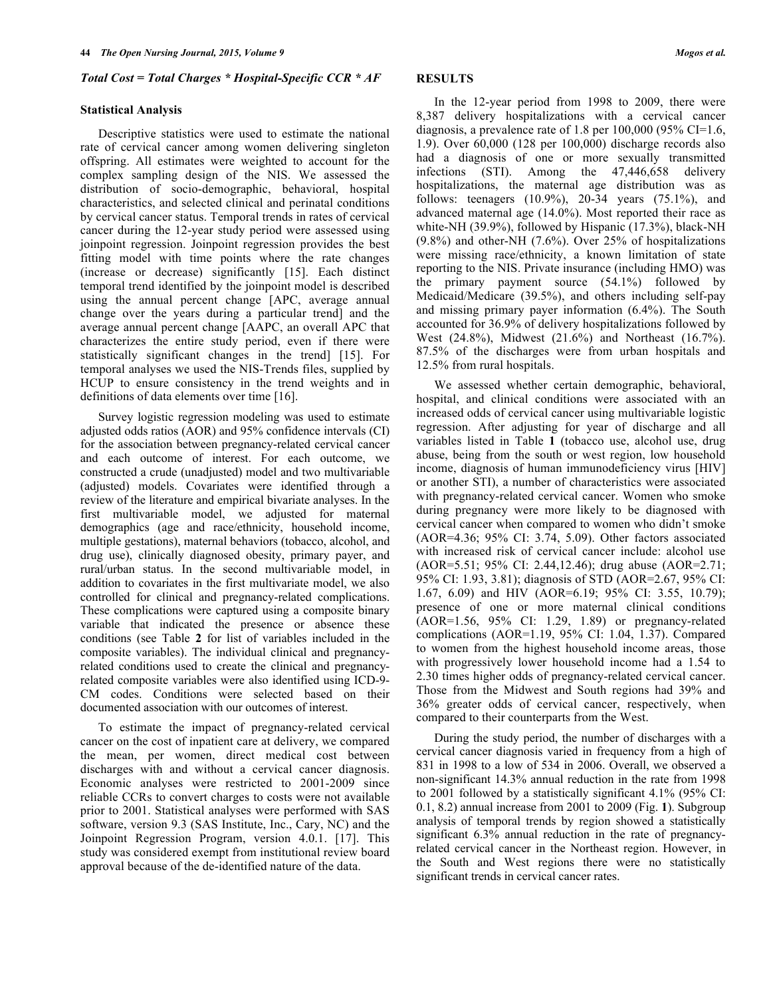#### *Total Cost = Total Charges \* Hospital-Specific CCR \* AF*

#### **Statistical Analysis**

Descriptive statistics were used to estimate the national rate of cervical cancer among women delivering singleton offspring. All estimates were weighted to account for the complex sampling design of the NIS. We assessed the distribution of socio-demographic, behavioral, hospital characteristics, and selected clinical and perinatal conditions by cervical cancer status. Temporal trends in rates of cervical cancer during the 12-year study period were assessed using joinpoint regression. Joinpoint regression provides the best fitting model with time points where the rate changes (increase or decrease) significantly [15]. Each distinct temporal trend identified by the joinpoint model is described using the annual percent change [APC, average annual change over the years during a particular trend] and the average annual percent change [AAPC, an overall APC that characterizes the entire study period, even if there were statistically significant changes in the trend] [15]. For temporal analyses we used the NIS-Trends files, supplied by HCUP to ensure consistency in the trend weights and in definitions of data elements over time [16].

Survey logistic regression modeling was used to estimate adjusted odds ratios (AOR) and 95% confidence intervals (CI) for the association between pregnancy-related cervical cancer and each outcome of interest. For each outcome, we constructed a crude (unadjusted) model and two multivariable (adjusted) models. Covariates were identified through a review of the literature and empirical bivariate analyses. In the first multivariable model, we adjusted for maternal demographics (age and race/ethnicity, household income, multiple gestations), maternal behaviors (tobacco, alcohol, and drug use), clinically diagnosed obesity, primary payer, and rural/urban status. In the second multivariable model, in addition to covariates in the first multivariate model, we also controlled for clinical and pregnancy-related complications. These complications were captured using a composite binary variable that indicated the presence or absence these conditions (see Table **2** for list of variables included in the composite variables). The individual clinical and pregnancyrelated conditions used to create the clinical and pregnancyrelated composite variables were also identified using ICD-9- CM codes. Conditions were selected based on their documented association with our outcomes of interest.

To estimate the impact of pregnancy-related cervical cancer on the cost of inpatient care at delivery, we compared the mean, per women, direct medical cost between discharges with and without a cervical cancer diagnosis. Economic analyses were restricted to 2001-2009 since reliable CCRs to convert charges to costs were not available prior to 2001. Statistical analyses were performed with SAS software, version 9.3 (SAS Institute, Inc., Cary, NC) and the Joinpoint Regression Program, version 4.0.1. [17]. This study was considered exempt from institutional review board approval because of the de-identified nature of the data.

### **RESULTS**

In the 12-year period from 1998 to 2009, there were 8,387 delivery hospitalizations with a cervical cancer diagnosis, a prevalence rate of 1.8 per  $100,000$  (95% CI=1.6, 1.9). Over 60,000 (128 per 100,000) discharge records also had a diagnosis of one or more sexually transmitted infections (STI). Among the 47,446,658 delivery hospitalizations, the maternal age distribution was as follows: teenagers  $(10.9\%)$ ,  $20-34$  years  $(75.1\%)$ , and advanced maternal age (14.0%). Most reported their race as white-NH (39.9%), followed by Hispanic (17.3%), black-NH (9.8%) and other-NH (7.6%). Over 25% of hospitalizations were missing race/ethnicity, a known limitation of state reporting to the NIS. Private insurance (including HMO) was the primary payment source (54.1%) followed by Medicaid/Medicare (39.5%), and others including self-pay and missing primary payer information (6.4%). The South accounted for 36.9% of delivery hospitalizations followed by West (24.8%), Midwest (21.6%) and Northeast (16.7%). 87.5% of the discharges were from urban hospitals and 12.5% from rural hospitals.

We assessed whether certain demographic, behavioral, hospital, and clinical conditions were associated with an increased odds of cervical cancer using multivariable logistic regression. After adjusting for year of discharge and all variables listed in Table **1** (tobacco use, alcohol use, drug abuse, being from the south or west region, low household income, diagnosis of human immunodeficiency virus [HIV] or another STI), a number of characteristics were associated with pregnancy-related cervical cancer. Women who smoke during pregnancy were more likely to be diagnosed with cervical cancer when compared to women who didn't smoke (AOR=4.36; 95% CI: 3.74, 5.09). Other factors associated with increased risk of cervical cancer include: alcohol use (AOR=5.51; 95% CI: 2.44,12.46); drug abuse (AOR=2.71; 95% CI: 1.93, 3.81); diagnosis of STD (AOR=2.67, 95% CI: 1.67, 6.09) and HIV (AOR=6.19; 95% CI: 3.55, 10.79); presence of one or more maternal clinical conditions (AOR=1.56, 95% CI: 1.29, 1.89) or pregnancy-related complications (AOR=1.19, 95% CI: 1.04, 1.37). Compared to women from the highest household income areas, those with progressively lower household income had a 1.54 to 2.30 times higher odds of pregnancy-related cervical cancer. Those from the Midwest and South regions had 39% and 36% greater odds of cervical cancer, respectively, when compared to their counterparts from the West.

During the study period, the number of discharges with a cervical cancer diagnosis varied in frequency from a high of 831 in 1998 to a low of 534 in 2006. Overall, we observed a non-significant 14.3% annual reduction in the rate from 1998 to 2001 followed by a statistically significant 4.1% (95% CI: 0.1, 8.2) annual increase from 2001 to 2009 (Fig. **1**). Subgroup analysis of temporal trends by region showed a statistically significant 6.3% annual reduction in the rate of pregnancyrelated cervical cancer in the Northeast region. However, in the South and West regions there were no statistically significant trends in cervical cancer rates.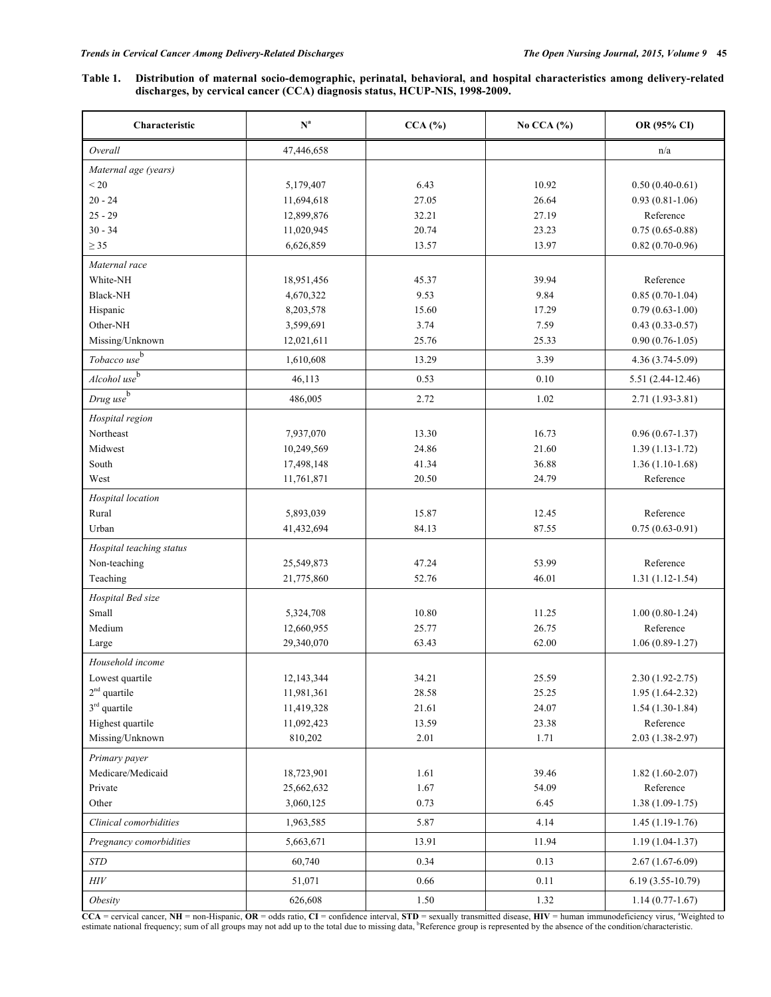## **Table 1. Distribution of maternal socio-demographic, perinatal, behavioral, and hospital characteristics among delivery-related discharges, by cervical cancer (CCA) diagnosis status, HCUP-NIS, 1998-2009.**

| Characteristic             | $\mathbf{N}^{\text{a}}$ | $CCA$ $%$ | No CCA $(%)$ | OR (95% CI)        |
|----------------------------|-------------------------|-----------|--------------|--------------------|
| Overall                    | 47,446,658              |           |              | n/a                |
| Maternal age (years)       |                         |           |              |                    |
| < 20                       | 5,179,407               | 6.43      | 10.92        | $0.50(0.40-0.61)$  |
| $20 - 24$                  | 11,694,618              | 27.05     | 26.64        | $0.93(0.81-1.06)$  |
| $25 - 29$                  | 12,899,876              | 32.21     | 27.19        | Reference          |
| $30 - 34$                  | 11,020,945              | 20.74     | 23.23        | $0.75(0.65-0.88)$  |
| $\geq$ 35                  | 6,626,859               | 13.57     | 13.97        | $0.82(0.70-0.96)$  |
| Maternal race              |                         |           |              |                    |
| White-NH                   | 18,951,456              | 45.37     | 39.94        | Reference          |
| <b>Black-NH</b>            | 4,670,322               | 9.53      | 9.84         | $0.85(0.70-1.04)$  |
| Hispanic                   | 8,203,578               | 15.60     | 17.29        | $0.79(0.63-1.00)$  |
| Other-NH                   | 3,599,691               | 3.74      | 7.59         | $0.43(0.33-0.57)$  |
| Missing/Unknown            | 12,021,611              | 25.76     | 25.33        | $0.90(0.76-1.05)$  |
| Tobacco use <sup>b</sup>   | 1,610,608               | 13.29     | 3.39         | $4.36(3.74-5.09)$  |
| $Alcohol$ use <sup>b</sup> | 46,113                  | 0.53      | 0.10         | 5.51 (2.44-12.46)  |
| $Drug$ use $\overline{b}$  | 486,005                 | 2.72      | 1.02         | $2.71(1.93-3.81)$  |
| Hospital region            |                         |           |              |                    |
| Northeast                  | 7,937,070               | 13.30     | 16.73        | $0.96(0.67-1.37)$  |
| Midwest                    | 10,249,569              | 24.86     | 21.60        | $1.39(1.13-1.72)$  |
| South                      | 17,498,148              | 41.34     | 36.88        | $1.36(1.10-1.68)$  |
| West                       | 11,761,871              | 20.50     | 24.79        | Reference          |
| Hospital location          |                         |           |              |                    |
| Rural                      | 5,893,039               | 15.87     | 12.45        | Reference          |
| Urban                      | 41,432,694              | 84.13     | 87.55        | $0.75(0.63-0.91)$  |
| Hospital teaching status   |                         |           |              |                    |
| Non-teaching               | 25,549,873              | 47.24     | 53.99        | Reference          |
| Teaching                   | 21,775,860              | 52.76     | 46.01        | $1.31(1.12-1.54)$  |
| Hospital Bed size          |                         |           |              |                    |
| Small                      | 5,324,708               | 10.80     | 11.25        | $1.00(0.80-1.24)$  |
| Medium                     | 12,660,955              | 25.77     | 26.75        | Reference          |
| Large                      | 29,340,070              | 63.43     | 62.00        | $1.06(0.89-1.27)$  |
| Household income           |                         |           |              |                    |
| Lowest quartile            | 12, 143, 344            | 34.21     | 25.59        | 2.30 (1.92-2.75)   |
| $2nd$ quartile             | 11,981,361              | 28.58     | 25.25        | $1.95(1.64-2.32)$  |
| 3 <sup>rd</sup> quartile   | 11,419,328              | 21.61     | 24.07        | $1.54(1.30-1.84)$  |
| Highest quartile           | 11,092,423              | 13.59     | 23.38        | Reference          |
| Missing/Unknown            | 810,202                 | 2.01      | 1.71         | $2.03(1.38-2.97)$  |
| Primary payer              |                         |           |              |                    |
| Medicare/Medicaid          | 18,723,901              | 1.61      | 39.46        | $1.82(1.60-2.07)$  |
| Private                    | 25,662,632              | 1.67      | 54.09        | Reference          |
| Other                      | 3,060,125               | 0.73      | 6.45         | $1.38(1.09-1.75)$  |
| Clinical comorbidities     | 1,963,585               | 5.87      | 4.14         | $1.45(1.19-1.76)$  |
| Pregnancy comorbidities    | 5,663,671               | 13.91     | 11.94        | $1.19(1.04-1.37)$  |
| <b>STD</b>                 | 60,740                  | 0.34      | 0.13         | $2.67(1.67-6.09)$  |
| $H\!I\!V$                  | 51,071                  | 0.66      | 0.11         | $6.19(3.55-10.79)$ |
| Obesity                    | 626,608                 | 1.50      | 1.32         | $1.14(0.77-1.67)$  |

 $\mathbf{CCA}$  = cervical cancer,  $\mathbf{NH}$  = non-Hispanic,  $\mathbf{OR}$  = odds ratio,  $\mathbf{CI}$  = confidence interval,  $\mathbf{STD}$  = sexually transmitted disease,  $\mathbf{H}\mathbf{IV}$  = human immunodeficiency virus, <sup>a</sup>Weighted to estimate national frequency; sum of all groups may not add up to the total due to missing data, <sup>b</sup>Reference group is represented by the absence of the condition/characteristic.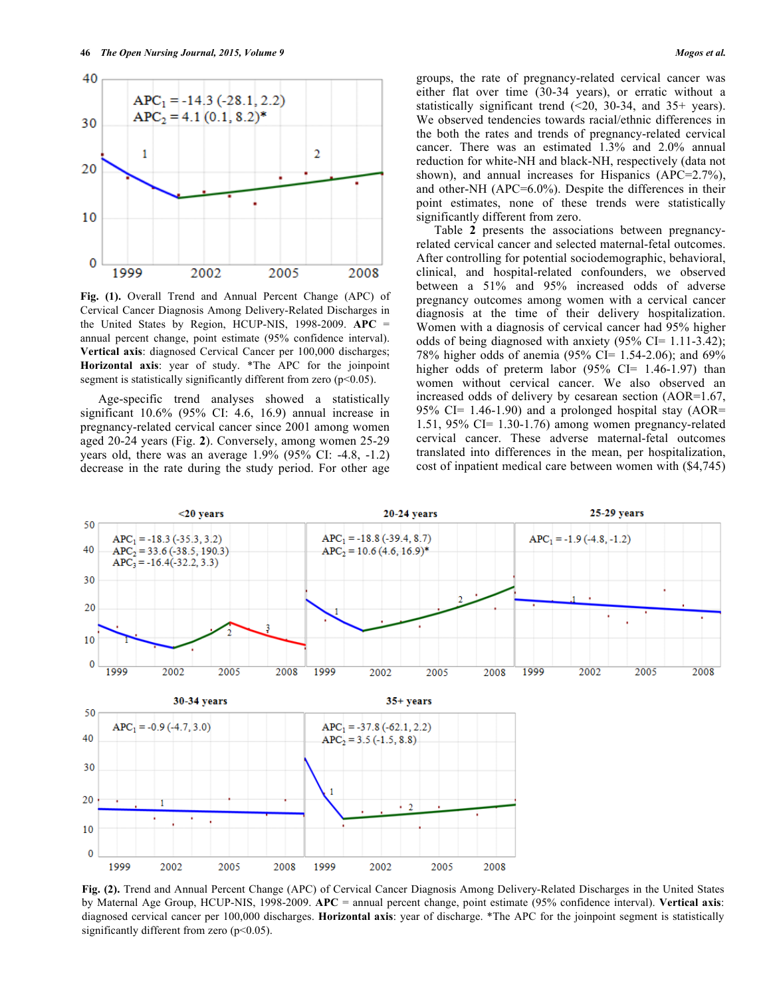

**Fig. (1).** Overall Trend and Annual Percent Change (APC) of Cervical Cancer Diagnosis Among Delivery-Related Discharges in the United States by Region, HCUP-NIS, 1998-2009. **APC** = annual percent change, point estimate (95% confidence interval). **Vertical axis**: diagnosed Cervical Cancer per 100,000 discharges; **Horizontal axis**: year of study. \*The APC for the joinpoint segment is statistically significantly different from zero (p<0.05).

Age-specific trend analyses showed a statistically significant 10.6% (95% CI: 4.6, 16.9) annual increase in pregnancy-related cervical cancer since 2001 among women aged 20-24 years (Fig. **2**). Conversely, among women 25-29 years old, there was an average 1.9% (95% CI: -4.8, -1.2) decrease in the rate during the study period. For other age groups, the rate of pregnancy-related cervical cancer was either flat over time (30-34 years), or erratic without a statistically significant trend (<20, 30-34, and 35+ years). We observed tendencies towards racial/ethnic differences in the both the rates and trends of pregnancy-related cervical cancer. There was an estimated 1.3% and 2.0% annual reduction for white-NH and black-NH, respectively (data not shown), and annual increases for Hispanics (APC=2.7%), and other-NH (APC=6.0%). Despite the differences in their point estimates, none of these trends were statistically significantly different from zero.

Table **2** presents the associations between pregnancyrelated cervical cancer and selected maternal-fetal outcomes. After controlling for potential sociodemographic, behavioral, clinical, and hospital-related confounders, we observed between a 51% and 95% increased odds of adverse pregnancy outcomes among women with a cervical cancer diagnosis at the time of their delivery hospitalization. Women with a diagnosis of cervical cancer had 95% higher odds of being diagnosed with anxiety  $(95\% \text{ CI} = 1.11-3.42)$ ; 78% higher odds of anemia (95% CI= 1.54-2.06); and 69% higher odds of preterm labor  $(95\% \text{ CI} = 1.46-1.97)$  than women without cervical cancer. We also observed an increased odds of delivery by cesarean section (AOR=1.67, 95% CI=  $1.46-1.90$ ) and a prolonged hospital stay (AOR= 1.51, 95% CI= 1.30-1.76) among women pregnancy-related cervical cancer. These adverse maternal-fetal outcomes translated into differences in the mean, per hospitalization, cost of inpatient medical care between women with (\$4,745)



**Fig. (2).** Trend and Annual Percent Change (APC) of Cervical Cancer Diagnosis Among Delivery-Related Discharges in the United States by Maternal Age Group, HCUP-NIS, 1998-2009. **APC** = annual percent change, point estimate (95% confidence interval). **Vertical axis**: diagnosed cervical cancer per 100,000 discharges. **Horizontal axis**: year of discharge. \*The APC for the joinpoint segment is statistically significantly different from zero  $(p<0.05)$ .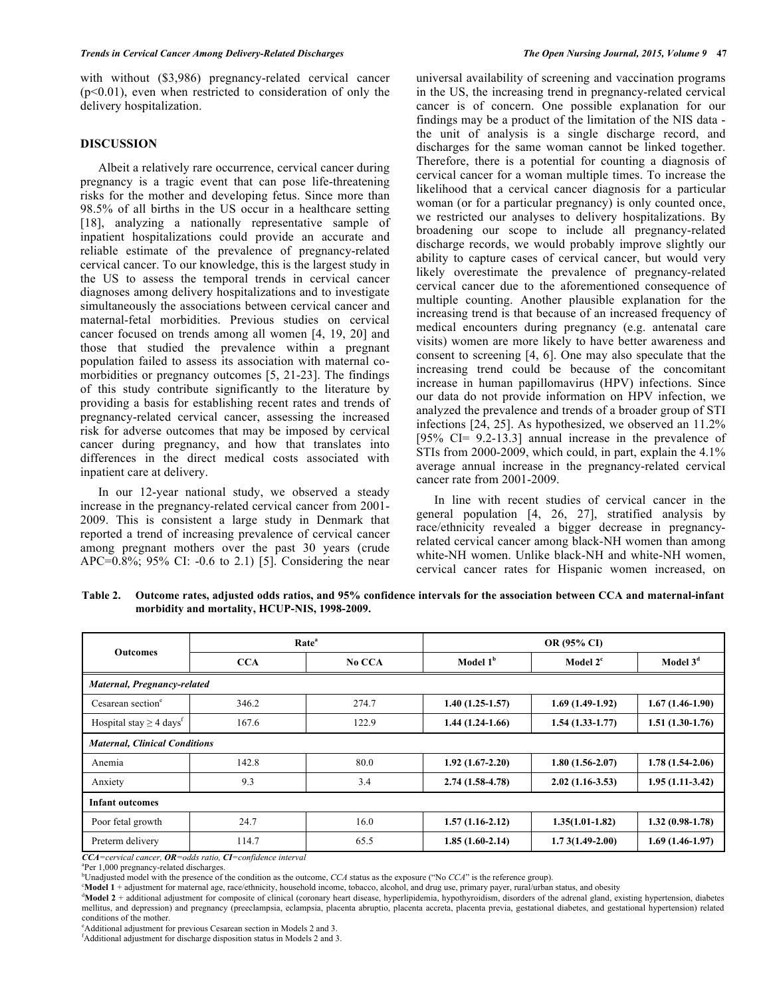with without (\$3,986) pregnancy-related cervical cancer  $(p<0.01)$ , even when restricted to consideration of only the delivery hospitalization.

## **DISCUSSION**

Albeit a relatively rare occurrence, cervical cancer during pregnancy is a tragic event that can pose life-threatening risks for the mother and developing fetus. Since more than 98.5% of all births in the US occur in a healthcare setting [18], analyzing a nationally representative sample of inpatient hospitalizations could provide an accurate and reliable estimate of the prevalence of pregnancy-related cervical cancer. To our knowledge, this is the largest study in the US to assess the temporal trends in cervical cancer diagnoses among delivery hospitalizations and to investigate simultaneously the associations between cervical cancer and maternal-fetal morbidities. Previous studies on cervical cancer focused on trends among all women [4, 19, 20] and those that studied the prevalence within a pregnant population failed to assess its association with maternal comorbidities or pregnancy outcomes [5, 21-23]. The findings of this study contribute significantly to the literature by providing a basis for establishing recent rates and trends of pregnancy-related cervical cancer, assessing the increased risk for adverse outcomes that may be imposed by cervical cancer during pregnancy, and how that translates into differences in the direct medical costs associated with inpatient care at delivery.

In our 12-year national study, we observed a steady increase in the pregnancy-related cervical cancer from 2001- 2009. This is consistent a large study in Denmark that reported a trend of increasing prevalence of cervical cancer among pregnant mothers over the past 30 years (crude APC=0.8%; 95% CI: -0.6 to 2.1) [5]. Considering the near

universal availability of screening and vaccination programs in the US, the increasing trend in pregnancy-related cervical cancer is of concern. One possible explanation for our findings may be a product of the limitation of the NIS data the unit of analysis is a single discharge record, and discharges for the same woman cannot be linked together. Therefore, there is a potential for counting a diagnosis of cervical cancer for a woman multiple times. To increase the likelihood that a cervical cancer diagnosis for a particular woman (or for a particular pregnancy) is only counted once, we restricted our analyses to delivery hospitalizations. By broadening our scope to include all pregnancy-related discharge records, we would probably improve slightly our ability to capture cases of cervical cancer, but would very likely overestimate the prevalence of pregnancy-related cervical cancer due to the aforementioned consequence of multiple counting. Another plausible explanation for the increasing trend is that because of an increased frequency of medical encounters during pregnancy (e.g. antenatal care visits) women are more likely to have better awareness and consent to screening [4, 6]. One may also speculate that the increasing trend could be because of the concomitant increase in human papillomavirus (HPV) infections. Since our data do not provide information on HPV infection, we analyzed the prevalence and trends of a broader group of STI infections [24, 25]. As hypothesized, we observed an 11.2% [95% CI= 9.2-13.3] annual increase in the prevalence of STIs from 2000-2009, which could, in part, explain the 4.1% average annual increase in the pregnancy-related cervical cancer rate from 2001-2009.

In line with recent studies of cervical cancer in the general population [4, 26, 27], stratified analysis by race/ethnicity revealed a bigger decrease in pregnancyrelated cervical cancer among black-NH women than among white-NH women. Unlike black-NH and white-NH women, cervical cancer rates for Hispanic women increased, on

**Table 2. Outcome rates, adjusted odds ratios, and 95% confidence intervals for the association between CCA and maternal-infant morbidity and mortality, HCUP-NIS, 1998-2009.**

| <b>Outcomes</b>                          | Rate <sup>a</sup> |        | OR (95% CI)          |                   |                   |  |
|------------------------------------------|-------------------|--------|----------------------|-------------------|-------------------|--|
|                                          | <b>CCA</b>        | No CCA | Model 1 <sup>b</sup> | Model $2c$        | Model $3d$        |  |
| Maternal, Pregnancy-related              |                   |        |                      |                   |                   |  |
| Cesarean section <sup>e</sup>            | 346.2             | 274.7  | $1.40(1.25-1.57)$    | $1.69(1.49-1.92)$ | $1.67(1.46-1.90)$ |  |
| Hospital stay $\geq$ 4 days <sup>t</sup> | 167.6             | 122.9  | $1.44(1.24-1.66)$    | $1.54(1.33-1.77)$ | $1.51(1.30-1.76)$ |  |
| <b>Maternal, Clinical Conditions</b>     |                   |        |                      |                   |                   |  |
| Anemia                                   | 142.8             | 80.0   | $1.92(1.67-2.20)$    | $1.80(1.56-2.07)$ | $1.78(1.54-2.06)$ |  |
| Anxiety                                  | 9.3               | 3.4    | $2.74(1.58-4.78)$    | $2.02(1.16-3.53)$ | $1.95(1.11-3.42)$ |  |
| <b>Infant outcomes</b>                   |                   |        |                      |                   |                   |  |
| Poor fetal growth                        | 24.7              | 16.0   | $1.57(1.16-2.12)$    | $1.35(1.01-1.82)$ | $1.32(0.98-1.78)$ |  |
| Preterm delivery                         | 114.7             | 65.5   | $1.85(1.60-2.14)$    | $1.73(1.49-2.00)$ | $1.69(1.46-1.97)$ |  |

*CCA=cervical cancer, OR=odds ratio, CI=confidence interval* <sup>a</sup>

Per 1,000 pregnancy-related discharges.

Unadjusted model with the presence of the condition as the outcome, *CCA* status as the exposure ("No *CCA*" is the reference group).

**Model 1** + adjustment for maternal age, race/ethnicity, household income, tobacco, alcohol, and drug use, primary payer, rural/urban status, and obesity

<sup>d</sup>Model 2 + additional adjustment for composite of clinical (coronary heart disease, hyperlipidemia, hypothyroidism, disorders of the adrenal gland, existing hypertension, diabetes mellitus, and depression) and pregnancy (preeclampsia, eclampsia, placenta abruptio, placenta accreta, placenta previa, gestational diabetes, and gestational hypertension) related conditions of the mother.

e Additional adjustment for previous Cesarean section in Models 2 and 3.

f Additional adjustment for discharge disposition status in Models 2 and 3.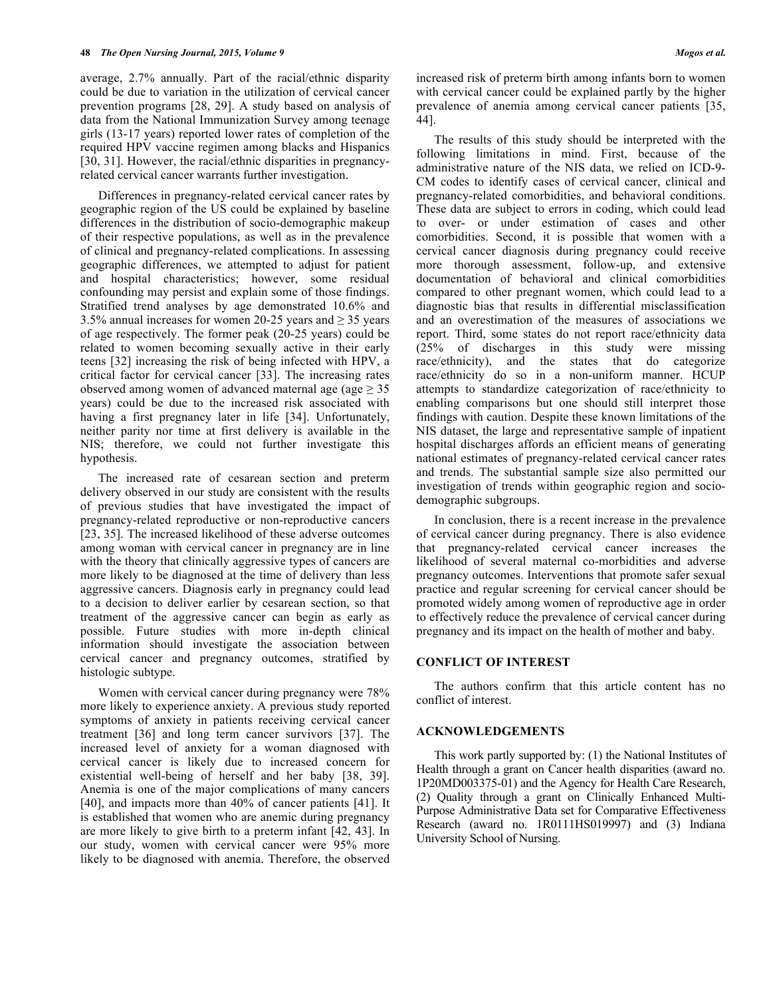average, 2.7% annually. Part of the racial/ethnic disparity could be due to variation in the utilization of cervical cancer prevention programs [28, 29]. A study based on analysis of data from the National Immunization Survey among teenage girls (13-17 years) reported lower rates of completion of the required HPV vaccine regimen among blacks and Hispanics [30, 31]. However, the racial/ethnic disparities in pregnancyrelated cervical cancer warrants further investigation.

Differences in pregnancy-related cervical cancer rates by geographic region of the US could be explained by baseline differences in the distribution of socio-demographic makeup of their respective populations, as well as in the prevalence of clinical and pregnancy-related complications. In assessing geographic differences, we attempted to adjust for patient and hospital characteristics; however, some residual confounding may persist and explain some of those findings. Stratified trend analyses by age demonstrated 10.6% and 3.5% annual increases for women 20-25 years and  $\geq$  35 years of age respectively. The former peak (20-25 years) could be related to women becoming sexually active in their early teens [32] increasing the risk of being infected with HPV, a critical factor for cervical cancer [33]. The increasing rates observed among women of advanced maternal age (age  $\geq$  35 years) could be due to the increased risk associated with having a first pregnancy later in life [34]. Unfortunately, neither parity nor time at first delivery is available in the NIS; therefore, we could not further investigate this hypothesis.

The increased rate of cesarean section and preterm delivery observed in our study are consistent with the results of previous studies that have investigated the impact of pregnancy-related reproductive or non-reproductive cancers [23, 35]. The increased likelihood of these adverse outcomes among woman with cervical cancer in pregnancy are in line with the theory that clinically aggressive types of cancers are more likely to be diagnosed at the time of delivery than less aggressive cancers. Diagnosis early in pregnancy could lead to a decision to deliver earlier by cesarean section, so that treatment of the aggressive cancer can begin as early as possible. Future studies with more in-depth clinical information should investigate the association between cervical cancer and pregnancy outcomes, stratified by histologic subtype.

Women with cervical cancer during pregnancy were 78% more likely to experience anxiety. A previous study reported symptoms of anxiety in patients receiving cervical cancer treatment [36] and long term cancer survivors [37]. The increased level of anxiety for a woman diagnosed with cervical cancer is likely due to increased concern for existential well-being of herself and her baby [38, 39]. Anemia is one of the major complications of many cancers [40], and impacts more than 40% of cancer patients [41]. It is established that women who are anemic during pregnancy are more likely to give birth to a preterm infant [42, 43]. In our study, women with cervical cancer were 95% more likely to be diagnosed with anemia. Therefore, the observed

increased risk of preterm birth among infants born to women with cervical cancer could be explained partly by the higher prevalence of anemia among cervical cancer patients [35, 44].

The results of this study should be interpreted with the following limitations in mind. First, because of the administrative nature of the NIS data, we relied on ICD-9- CM codes to identify cases of cervical cancer, clinical and pregnancy-related comorbidities, and behavioral conditions. These data are subject to errors in coding, which could lead to over- or under estimation of cases and other comorbidities. Second, it is possible that women with a cervical cancer diagnosis during pregnancy could receive more thorough assessment, follow-up, and extensive documentation of behavioral and clinical comorbidities compared to other pregnant women, which could lead to a diagnostic bias that results in differential misclassification and an overestimation of the measures of associations we report. Third, some states do not report race/ethnicity data (25% of discharges in this study were missing race/ethnicity), and the states that do categorize race/ethnicity do so in a non-uniform manner. HCUP attempts to standardize categorization of race/ethnicity to enabling comparisons but one should still interpret those findings with caution. Despite these known limitations of the NIS dataset, the large and representative sample of inpatient hospital discharges affords an efficient means of generating national estimates of pregnancy-related cervical cancer rates and trends. The substantial sample size also permitted our investigation of trends within geographic region and sociodemographic subgroups.

In conclusion, there is a recent increase in the prevalence of cervical cancer during pregnancy. There is also evidence that pregnancy-related cervical cancer increases the likelihood of several maternal co-morbidities and adverse pregnancy outcomes. Interventions that promote safer sexual practice and regular screening for cervical cancer should be promoted widely among women of reproductive age in order to effectively reduce the prevalence of cervical cancer during pregnancy and its impact on the health of mother and baby.

#### **CONFLICT OF INTEREST**

The authors confirm that this article content has no conflict of interest.

#### **ACKNOWLEDGEMENTS**

This work partly supported by: (1) the National Institutes of Health through a grant on Cancer health disparities (award no. 1P20MD003375-01) and the Agency for Health Care Research, (2) Quality through a grant on Clinically Enhanced Multi-Purpose Administrative Data set for Comparative Effectiveness Research (award no. 1R0111HS019997) and (3) Indiana University School of Nursing.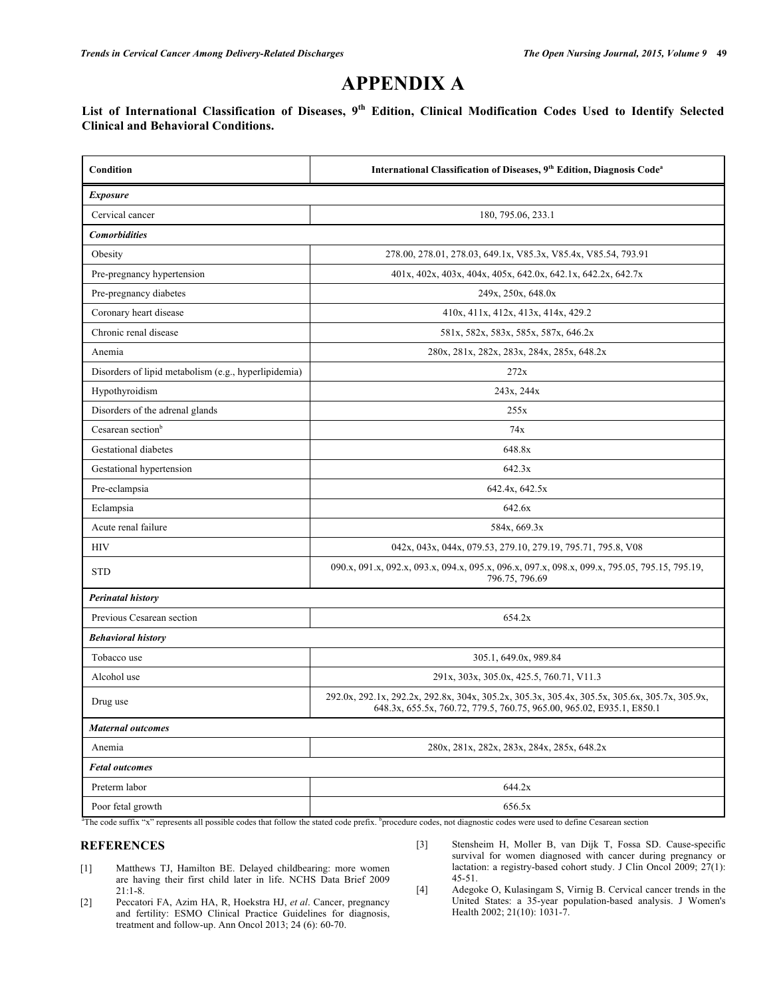# **APPENDIX A**

**List of International Classification of Diseases, 9th Edition, Clinical Modification Codes Used to Identify Selected Clinical and Behavioral Conditions.**

| Condition                                            | International Classification of Diseases, 9th Edition, Diagnosis Code <sup>a</sup>                                                                                     |  |  |  |
|------------------------------------------------------|------------------------------------------------------------------------------------------------------------------------------------------------------------------------|--|--|--|
| <i>Exposure</i>                                      |                                                                                                                                                                        |  |  |  |
| Cervical cancer                                      | 180, 795.06, 233.1                                                                                                                                                     |  |  |  |
| <b>Comorbidities</b>                                 |                                                                                                                                                                        |  |  |  |
| Obesity                                              | 278.00, 278.01, 278.03, 649.1x, V85.3x, V85.4x, V85.54, 793.91                                                                                                         |  |  |  |
| Pre-pregnancy hypertension                           | 401x, 402x, 403x, 404x, 405x, 642.0x, 642.1x, 642.2x, 642.7x                                                                                                           |  |  |  |
| Pre-pregnancy diabetes                               | 249x, 250x, 648.0x                                                                                                                                                     |  |  |  |
| Coronary heart disease                               | 410x, 411x, 412x, 413x, 414x, 429.2                                                                                                                                    |  |  |  |
| Chronic renal disease                                | 581x, 582x, 583x, 585x, 587x, 646.2x                                                                                                                                   |  |  |  |
| Anemia                                               | 280x, 281x, 282x, 283x, 284x, 285x, 648.2x                                                                                                                             |  |  |  |
| Disorders of lipid metabolism (e.g., hyperlipidemia) | 272x                                                                                                                                                                   |  |  |  |
| Hypothyroidism                                       | 243x, 244x                                                                                                                                                             |  |  |  |
| Disorders of the adrenal glands                      | 255x                                                                                                                                                                   |  |  |  |
| Cesarean section <sup>b</sup>                        | 74x                                                                                                                                                                    |  |  |  |
| Gestational diabetes                                 | 648.8x                                                                                                                                                                 |  |  |  |
| Gestational hypertension                             | 642.3x                                                                                                                                                                 |  |  |  |
| Pre-eclampsia                                        | 642.4x, 642.5x                                                                                                                                                         |  |  |  |
| Eclampsia                                            | 642.6x                                                                                                                                                                 |  |  |  |
| Acute renal failure                                  | 584x, 669.3x                                                                                                                                                           |  |  |  |
| <b>HIV</b>                                           | 042x, 043x, 044x, 079.53, 279.10, 279.19, 795.71, 795.8, V08                                                                                                           |  |  |  |
| <b>STD</b>                                           | 090.x, 091.x, 092.x, 093.x, 094.x, 095.x, 096.x, 097.x, 098.x, 099.x, 795.05, 795.15, 795.19,<br>796.75, 796.69                                                        |  |  |  |
| <b>Perinatal history</b>                             |                                                                                                                                                                        |  |  |  |
| Previous Cesarean section                            | 654.2x                                                                                                                                                                 |  |  |  |
| <b>Behavioral history</b>                            |                                                                                                                                                                        |  |  |  |
| Tobacco use                                          | 305.1, 649.0x, 989.84                                                                                                                                                  |  |  |  |
| Alcohol use                                          | 291x, 303x, 305.0x, 425.5, 760.71, V11.3                                                                                                                               |  |  |  |
| Drug use                                             | 292.0x, 292.1x, 292.2x, 292.8x, 304x, 305.2x, 305.3x, 305.4x, 305.5x, 305.6x, 305.7x, 305.9x,<br>648.3x, 655.5x, 760.72, 779.5, 760.75, 965.00, 965.02, E935.1, E850.1 |  |  |  |
| <b>Maternal outcomes</b>                             |                                                                                                                                                                        |  |  |  |
| Anemia                                               | 280x, 281x, 282x, 283x, 284x, 285x, 648.2x                                                                                                                             |  |  |  |
| <b>Fetal outcomes</b>                                |                                                                                                                                                                        |  |  |  |
| Preterm labor                                        | 644.2x                                                                                                                                                                 |  |  |  |
| Poor fetal growth                                    | 656.5x                                                                                                                                                                 |  |  |  |

<sup>a</sup>The code suffix "x" represents all possible codes that follow the stated code prefix. <sup>b</sup>procedure codes, not diagnostic codes were used to define Cesarean section

## **REFERENCES**

- [1] Matthews TJ, Hamilton BE. Delayed childbearing: more women are having their first child later in life. NCHS Data Brief 2009 21:1-8.
- [2] Peccatori FA, Azim HA, R, Hoekstra HJ, *et al*. Cancer, pregnancy and fertility: ESMO Clinical Practice Guidelines for diagnosis, treatment and follow-up. Ann Oncol 2013; 24 (6): 60-70.
- [3] Stensheim H, Moller B, van Dijk T, Fossa SD. Cause-specific survival for women diagnosed with cancer during pregnancy or lactation: a registry-based cohort study. J Clin Oncol 2009; 27(1): 45-51.
- [4] Adegoke O, Kulasingam S, Virnig B. Cervical cancer trends in the United States: a 35-year population-based analysis. J Women's Health 2002; 21(10): 1031-7.